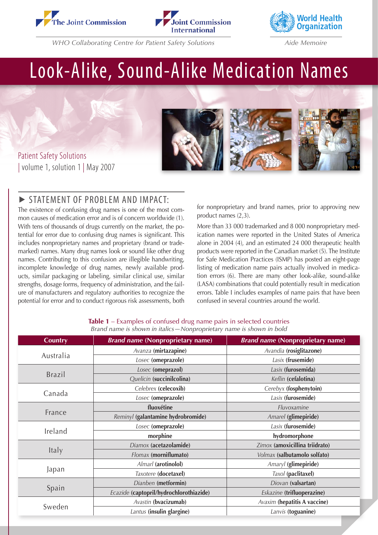





*WHO Collaborating Centre for Patient Safety Solutions Aide Memoire*

# Look-Alike, Sound-Alike Medication Names

Patient Safety Solutions | volume 1, solution 1 | May 2007



The existence of confusing drug names is one of the most common causes of medication error and is of concern worldwide (1). With tens of thousands of drugs currently on the market, the potential for error due to confusing drug names is significant. This includes nonproprietary names and proprietary (brand or trademarked) names. Many drug names look or sound like other drug names. Contributing to this confusion are illegible handwriting, incomplete knowledge of drug names, newly available products, similar packaging or labeling, similar clinical use, similar strengths, dosage forms, frequency of administration, and the failure of manufacturers and regulatory authorities to recognize the potential for error and to conduct rigorous risk assessments, both



for nonproprietary and brand names, prior to approving new product names (2,3).

More than 33 000 trademarked and 8 000 nonproprietary medication names were reported in the United States of America alone in 2004 (4), and an estimated 24 000 therapeutic health products were reported in the Canadian market (5). The Institute for Safe Medication Practices (ISMP) has posted an eight-page listing of medication name pairs actually involved in medication errors (6). There are many other look-alike, sound-alike (LASA) combinations that could potentially result in medication errors. Table I includes examples of name pairs that have been confused in several countries around the world.

| <b>Country</b> | <b>Brand name (Nonproprietary name)</b> | <b>Brand name (Nonproprietary name)</b> |
|----------------|-----------------------------------------|-----------------------------------------|
| Australia      | Avanza (mirtazapine)                    | Avandia (rosiglitazone)                 |
|                | Losec (omeprazole)                      | Lasix (frusemide)                       |
| <b>Brazil</b>  | Losec (omeprazol)                       | Lasix (furosemida)                      |
|                | Quelicin (succinilcolina)               | Keflin (cefalotina)                     |
| Canada         | Celebrex (celecoxib)                    | Cerebyx (fosphenytoin)                  |
|                | Losec (omeprazole)                      | Lasix (furosemide)                      |
| France         | fluoxétine                              | Fluvoxamine                             |
|                | Reminyl (galantamine hydrobromide)      | Amarel (glimepiride)                    |
| Ireland        | Losec (omeprazole)                      | Lasix (furosemide)                      |
|                | morphine                                | hydromorphone                           |
| Italy          | Diamox (acetazolamide)                  | Zimox (amoxicillina triidrato)          |
|                | Flomax (morniflumato)                   | Volmax (salbutamolo solfato)            |
| Japan          | Almarl (arotinolol)                     | Amaryl (glimepiride)                    |
|                | Taxotere (docetaxel)                    | Taxol (paclitaxel)                      |
| Spain          | Dianben (metformin)                     | Diovan (valsartan)                      |
|                | Ecazide (captopril/hydrochlorothiazide) | Eskazine (trifluoperazine)              |
| Sweden         | Avastin (bvacizumab)                    | Avaxim (hepatitis A vaccine)            |
|                | Lantus (insulin glargine)               | Lanvis (toguanine)                      |

#### **Table 1** – Examples of confused drug name pairs in selected countries *Brand name is shown in italics—Nonproprietary name is shown in bold*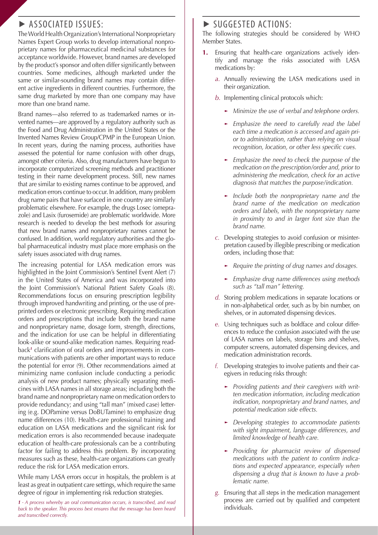#### ASSOCIATED ISSUES: ▶ ASSOCIATED ISSUES: Notified Actions:

The World Health Organization's International Nonproprietary Names Expert Group works to develop international nonproprietary names for pharmaceutical medicinal substances for acceptance worldwide. However, brand names are developed by the product's sponsor and often differ significantly between countries. Some medicines, although marketed under the same or similar-sounding brand names may contain different active ingredients in different countries. Furthermore, the same drug marketed by more than one company may have more than one brand name.

Brand names—also referred to as trademarked names or invented names—are approved by a regulatory authority such as the Food and Drug Administration in the United States or the Invented Names Review Group/CPMP in the European Union. In recent years, during the naming process, authorities have assessed the potential for name confusion with other drugs, amongst other criteria. Also, drug manufacturers have begun to incorporate computerized screening methods and practitioner testing in their name development process. Still, new names that are similar to existing names continue to be approved, and medication errors continue to occur. In addition, many problem drug name pairs that have surfaced in one country are similarly problematic elsewhere. For example, the drugs Losec (omeprazole) and Lasix (furosemide) are problematic worldwide. More research is needed to develop the best methods for assuring that new brand names and nonproprietary names cannot be confused. In addition, world regulatory authorities and the global pharmaceutical industry must place more emphasis on the safety issues associated with drug names.

The increasing potential for LASA medication errors was highlighted in the Joint Commission's Sentinel Event Alert (7) in the United States of America and was incorporated into the Joint Commission's National Patient Safety Goals (8). Recommendations focus on ensuring prescription legibility through improved handwriting and printing, or the use of preprinted orders or electronic prescribing. Requiring medication orders and prescriptions that include both the brand name and nonproprietary name, dosage form, strength, directions, and the indication for use can be helpful in differentiating look-alike or sound-alike medication names. Requiring readback*<sup>1</sup>* clarification of oral orders and improvements in communications with patients are other important ways to reduce the potential for error (9). Other recommendations aimed at minimizing name confusion include conducting a periodic analysis of new product names; physically separating medicines with LASA names in all storage areas; including both the brand name and nonproprietary name on medication orders to provide redundancy; and using "tall man" (mixed case) lettering (e.g. DOPamine versus DoBUTamine) to emphasize drug name differences (10). Health-care professional training and education on LASA medications and the significant risk for medication errors is also recommended because inadequate education of health-care professionals can be a contributing factor for failing to address this problem. By incorporating measures such as these, health-care organizations can greatly reduce the risk for LASA medication errors.

While many LASA errors occur in hospitals, the problem is at least as great in outpatient care settings, which require the same degree of rigour in implementing risk reduction strategies.

*1 - A process whereby an oral communication occurs, is transcribed, and read back to the speaker. This process best ensures that the message has been heard and transcribed correctly.*

The following strategies should be considered by WHO Member States.

- Ensuring that health-care organizations actively identify and manage the risks associated with LASA medications by: **1.**
	- Annually reviewing the LASA medications used in *a.* their organization.
	- b. Implementing clinical protocols which:
		- *Minimize the use of verbal and telephone orders.* ►
		- *Emphasize the need to carefully read the label*  ► *each time a medication is accessed and again prior to administration, rather than relying on visual recognition, location, or other less specific cues.*
		- ► Emphasize the need to check the purpose of the *medication on the prescription/order and, prior to administering the medication, check for an active diagnosis that matches the purpose/indication.*
		- ► Include both the nonproprietary name and the *brand name of the medication on medication orders and labels, with the nonproprietary name in proximity to and in larger font size than the brand name.*
	- *c.* Developing strategies to avoid confusion or misinterpretation caused by illegible prescribing or medication orders, including those that:
		- *Require the printing of drug names and dosages.* ►
		- *Emphasize drug name differences using methods*  ► *such as "tall man" lettering.*
	- *d.* Storing problem medications in separate locations or in non-alphabetical order, such as by bin number, on shelves, or in automated dispensing devices.
	- *e.* Using techniques such as boldface and colour differences to reduce the confusion associated with the use of LASA names on labels, storage bins and shelves, computer screens, automated dispensing devices, and medication administration records.
	- *f.* Developing strategies to involve patients and their caregivers in reducing risks through:
		- *Providing patients and their caregivers with writ-*► *ten medication information, including medication indication, nonproprietary and brand names, and potential medication side effects.*
		- *Developing strategies to accommodate patients with sight impairment, language differences, and limited knowledge of health care.* ►
		- *Providing for pharmacist review of dispensed*  ►*medications with the patient to confirm indications and expected appearance, especially when dispensing a drug that is known to have a problematic name.*
	- *g.* Ensuring that all steps in the medication management process are carried out by qualified and competent individuals.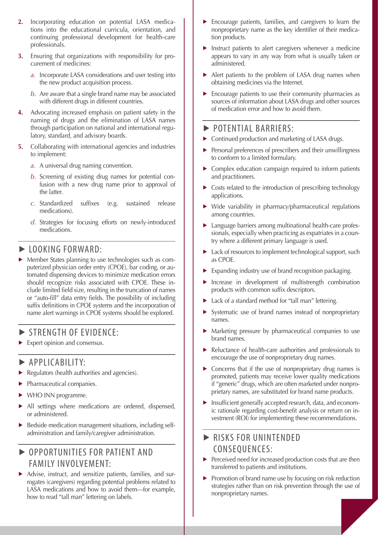- **2.** Incorporating education on potential LASA medications into the educational curricula, orientation, and continuing professional development for health-care professionals.
- **3.** Ensuring that organizations with responsibility for procurement of medicines:
	- a. Incorporate LASA considerations and user testing into the new product acquisition process.
	- Are aware that a single brand name may be associated *b.* with different drugs in different countries.
- **4.** Advocating increased emphasis on patient safety in the naming of drugs and the elimination of LASA names through participation on national and international regulatory, standard, and advisory boards.
- **5.** Collaborating with international agencies and industries to implement:
	- A universal drug naming convention. *a.*
	- b. Screening of existing drug names for potential confusion with a new drug name prior to approval of the latter.
	- Standardized suffixes (e.g. sustained release *c.* medications).
	- d. Strategies for focusing efforts on newly-introduced medications.

#### ▶ LOOKING FORWARD:

Member States planning to use technologies such as computerized physician order entry (CPOE), bar coding, or automated dispensing devices to minimize medication errors should recognize risks associated with CPOE. These include limited field size, resulting in the truncation of names or "auto-fill" data entry fields. The possibility of including suffix definitions in CPOE systems and the incorporation of name alert warnings in CPOE systems should be explored. ▶

#### ▶ STRENGTH OF EVIDENCE:

Expert opinion and consensus. ▶

#### ▶ APPLICABILITY:

- Regulators (health authorities and agencies). ▶
- Pharmaceutical companies. ▶
- WHO INN programme. ▶
- All settings where medications are ordered, dispensed, or administered. ▶
- Bedside medication management situations, including selfadministration and family/caregiver administration. ▶

### ▶ OPPORTUNITIES FOR PATIENT AND Family Involvement:

▶ Advise, instruct, and sensitize patients, families, and surrogates (caregivers) regarding potential problems related to LASA medications and how to avoid them—for example, how to read "tall man" lettering on labels.

- ▶ Encourage patients, families, and caregivers to learn the nonproprietary name as the key identifier of their medication products.
- ▶ Instruct patients to alert caregivers whenever a medicine appears to vary in any way from what is usually taken or administered.
- ▶ Alert patients to the problem of LASA drug names when obtaining medicines via the Internet.
- ▶ Encourage patients to use their community pharmacies as sources of information about LASA drugs and other sources of medication error and how to avoid them.

#### ▶ POTENTIAL BARRIERS:

- ▶ Continued production and marketing of LASA drugs.
- ▶ Personal preferences of prescribers and their unwillingness to conform to a limited formulary.
- ▶ Complex education campaign required to inform patients and practitioners.
- ▶ Costs related to the introduction of prescribing technology applications.
- ▶ Wide variability in pharmacy/pharmaceutical regulations among countries.
- ▶ Language barriers among multinational health-care professionals, especially when practicing as expatriates in a country where a different primary language is used.
- ▶ Lack of resources to implement technological support, such as CPOE.
- ▶ Expanding industry use of brand recognition packaging.
- ▶ Increase in development of multistrength combination products with common suffix descriptors.
- ▶ Lack of a standard method for "tall man" lettering.
- Systematic use of brand names instead of nonproprietary names. ▶
- ▶ Marketing pressure by pharmaceutical companies to use brand names.
- ▶ Reluctance of health-care authorities and professionals to encourage the use of nonproprietary drug names.
- ▶ Concerns that if the use of nonproprietary drug names is promoted, patients may receive lower quality medications if "generic" drugs, which are often marketed under nonproprietary names, are substituted for brand name products.
- ▶ Insufficient generally accepted research, data, and economic rationale regarding cost-benefit analysis or return on investment (ROI) for implementing these recommendations.

### ▶ RISKS FOR UNINTENDED Consequences:

- ▶ Perceived need for increased production costs that are then transferred to patients and institutions.
- ▶ Promotion of brand name use by focusing on risk reduction strategies rather than on risk prevention through the use of nonproprietary names.